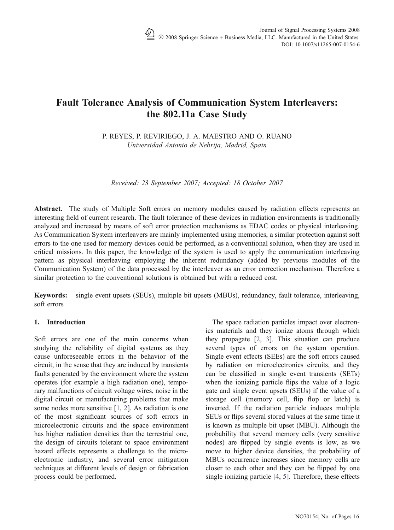# Fault Tolerance Analysis of Communication System Interleavers: the 802.11a Case Study

P. REYES, P. REVIRIEGO, J. A. MAESTRO AND O. RUANO Universidad Antonio de Nebrija, Madrid, Spain

Received: 23 September 2007; Accepted: 18 October 2007

Abstract. The study of Multiple Soft errors on memory modules caused by radiation effects represents an interesting field of current research. The fault tolerance of these devices in radiation environments is traditionally analyzed and increased by means of soft error protection mechanisms as EDAC codes or physical interleaving. As Communication System interleavers are mainly implemented using memories, a similar protection against soft errors to the one used for memory devices could be performed, as a conventional solution, when they are used in critical missions. In this paper, the knowledge of the system is used to apply the communication interleaving pattern as physical interleaving employing the inherent redundancy (added by previous modules of the Communication System) of the data processed by the interleaver as an error correction mechanism. Therefore a similar protection to the conventional solutions is obtained but with a reduced cost.

Keywords: single event upsets (SEUs), multiple bit upsets (MBUs), redundancy, fault tolerance, interleaving, soft errors

## 1. Introduction

Soft errors are one of the main concerns when studying the reliability of digital systems as they cause unforeseeable errors in the behavior of the circuit, in the sense that they are induced by transients faults generated by the environment where the system operates (for example a high radiation one), temporary malfunctions of circuit voltage wires, noise in the digital circuit or manufacturing problems that make some nodes more sensitive [\[1](#page-14-0), [2](#page-15-0)]. As radiation is one of the most significant sources of soft errors in microelectronic circuits and the space environment has higher radiation densities than the terrestrial one, the design of circuits tolerant to space environment hazard effects represents a challenge to the microelectronic industry, and several error mitigation techniques at different levels of design or fabrication process could be performed.

The space radiation particles impact over electronics materials and they ionize atoms through which they propagate [\[2](#page-15-0), [3](#page-15-0)]. This situation can produce several types of errors on the system operation. Single event effects (SEEs) are the soft errors caused by radiation on microelectronics circuits, and they can be classified in single event transients (SETs) when the ionizing particle flips the value of a logic gate and single event upsets (SEUs) if the value of a storage cell (memory cell, flip flop or latch) is inverted. If the radiation particle induces multiple SEUs or flips several stored values at the same time it is known as multiple bit upset (MBU). Although the probability that several memory cells (very sensitive nodes) are flipped by single events is low, as we move to higher device densities, the probability of MBUs occurrence increases since memory cells are closer to each other and they can be flipped by one single ionizing particle [\[4](#page-15-0), [5](#page-15-0)]. Therefore, these effects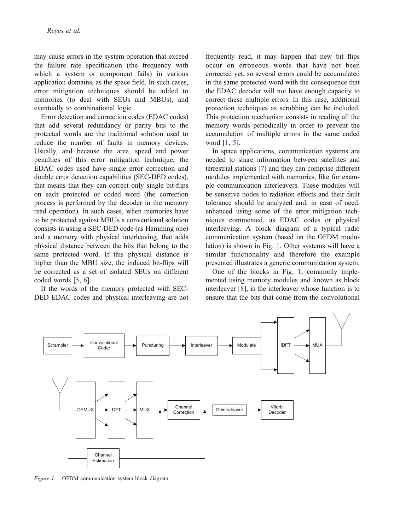<span id="page-1-0"></span>may cause errors in the system operation that exceed the failure rate specification (the frequency with which a system or component fails) in various application domains, as the space field. In such cases, error mitigation techniques should be added to memories (to deal with SEUs and MBUs), and eventually to combinational logic.

Error detection and correction codes (EDAC codes) that add several redundancy or parity bits to the protected words are the traditional solution used to reduce the number of faults in memory devices. Usually, and because the area, speed and power penalties of this error mitigation technique, the EDAC codes used have single error correction and double error detection capabilities (SEC-DED codes), that means that they can correct only single bit-flips on each protected or coded word (the correction process is performed by the decoder in the memory read operation). In such cases, when memories have to be protected against MBUs a conventional solution consists in using a SEC-DED code (as Hamming one) and a memory with physical interleaving, that adds physical distance between the bits that belong to the same protected word. If this physical distance is higher than the MBU size, the induced bit-flips will be corrected as a set of isolated SEUs on different coded words [\[5](#page-15-0), [6](#page-15-0)].

If the words of the memory protected with SEC-DED EDAC codes and physical interleaving are not

frequently read, it may happen that new bit flips occur on erroneous words that have not been corrected yet, so several errors could be accumulated in the same protected word with the consequence that the EDAC decoder will not have enough capacity to correct these multiple errors. In this case, additional protection techniques as scrubbing can be included. This protection mechanism consists in reading all the memory words periodically in order to prevent the accumulation of multiple errors in the same coded word [\[1](#page-14-0), [5](#page-15-0)].

In space applications, communication systems are needed to share information between satellites and terrestrial stations [\[7](#page-15-0)] and they can comprise different modules implemented with memories, like for example communication interleavers. These modules will be sensitive nodes to radiation effects and their fault tolerance should be analyzed and, in case of need, enhanced using some of the error mitigation techniques commented, as EDAC codes or physical interleaving. A block diagram of a typical radio communication system (based on the OFDM modulation) is shown in Fig. 1. Other systems will have a similar functionality and therefore the example presented illustrates a generic communication system.

One of the blocks in Fig. 1, commonly implemented using memory modules and known as block interleaver [\[8](#page-15-0)], is the interleaver whose function is to ensure that the bits that come from the convolutional



Figure 1. OFDM communication system block diagram.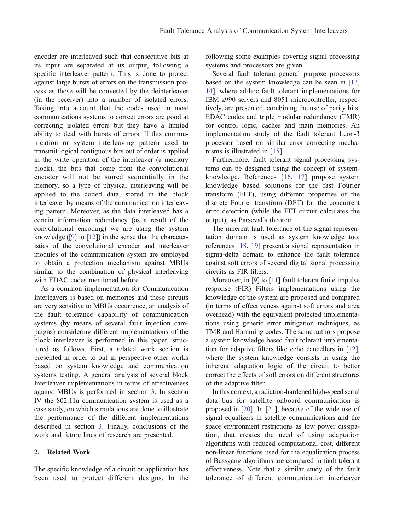encoder are interleaved such that consecutive bits at its input are separated at its output, following a specific interleaver pattern. This is done to protect against large bursts of errors on the transmission process as those will be converted by the deinterleaver (in the receiver) into a number of isolated errors. Taking into account that the codes used in most communications systems to correct errors are good at correcting isolated errors but they have a limited ability to deal with bursts of errors. If this communication or system interleaving pattern used to transmit logical contiguous bits out of order is applied in the write operation of the interleaver (a memory block), the bits that come from the convolutional encoder will not be stored sequentially in the memory, so a type of physical interleaving will be applied to the coded data, stored in the block interleaver by means of the communication interleaving pattern. Moreover, as the data interleaved has a certain information redundancy (as a result of the convolutional encoding) we are using the system knowledge ([\[9](#page-15-0)] to [\[12](#page-15-0)]) in the sense that the characteristics of the convolutional encoder and interleaver modules of the communication system are employed to obtain a protection mechanism against MBUs similar to the combination of physical interleaving with EDAC codes mentioned before.

As a common implementation for Communication Interleavers is based on memories and these circuits are very sensitive to MBUs occurrence, an analysis of the fault tolerance capability of communication systems (by means of several fault injection campaigns) considering different implementations of the block interleaver is performed in this paper, structured as follows. First, a related work section is presented in order to put in perspective other works based on system knowledge and communication systems testing. A general analysis of several block Interleaver implementations in terms of effectiveness against MBUs is performed in section [3](#page-3-0). In section IV the 802.11a communication system is used as a case study, on which simulations are done to illustrate the performance of the different implementations described in section [3](#page-3-0). Finally, conclusions of the work and future lines of research are presented.

### 2. Related Work

The specific knowledge of a circuit or application has been used to protect different designs. In the

following some examples covering signal processing systems and processors are given.

Several fault tolerant general purpose processors based on the system knowledge can be seen in [\[13](#page-15-0), [14](#page-15-0)], where ad-hoc fault tolerant implementations for IBM z990 servers and 8051 microcontroller, respectively, are presented, combining the use of parity bits, EDAC codes and triple modular redundancy (TMR) for control logic, caches and main memories. An implementation study of the fault tolerant Leon-3 processor based on similar error correcting mechanisms is illustrated in [\[15](#page-15-0)].

Furthermore, fault tolerant signal processing systems can be designed using the concept of systemknowledge. References [\[16](#page-15-0), [17](#page-15-0)] propose system knowledge based solutions for the fast Fourier transform (FFT), using different properties of the discrete Fourier transform (DFT) for the concurrent error detection (while the FFT circuit calculates the output), as Parseval's theorem.

The inherent fault tolerance of the signal representation domain is used as system knowledge too, references [\[18](#page-15-0), [19](#page-15-0)] present a signal representation in sigma-delta domain to enhance the fault tolerance against soft errors of several digital signal processing circuits as FIR filters.

Moreover, in [\[9](#page-15-0)] to [\[11](#page-15-0)] fault tolerant finite impulse response (FIR) Filters implementations using the knowledge of the system are proposed and compared (in terms of effectiveness against soft errors and area overhead) with the equivalent protected implementations using generic error mitigation techniques, as TMR and Hamming codes. The same authors propose a system knowledge based fault tolerant implementation for adaptive filters like echo cancellers in [\[12](#page-15-0)], where the system knowledge consists in using the inherent adaptation logic of the circuit to better correct the effects of soft errors on different structures of the adaptive filter.

In this context, a radiation-hardened high-speed serial data bus for satellite onboard communication is proposed in [\[20](#page-15-0)]. In [\[21](#page-15-0)], because of the wide use of signal equalizers in satellite communications and the space environment restrictions as low power dissipation, that creates the need of using adaptation algorithms with reduced computational cost, different non-linear functions used for the equalization process of Bussgang algorithms are compared in fault tolerant effectiveness. Note that a similar study of the fault tolerance of different communication interleaver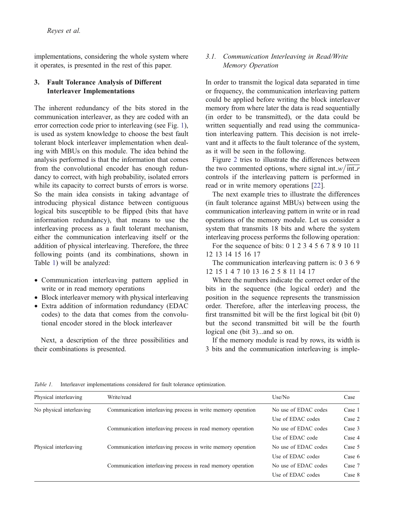<span id="page-3-0"></span>implementations, considering the whole system where it operates, is presented in the rest of this paper.

## 3. Fault Tolerance Analysis of Different Interleaver Implementations

The inherent redundancy of the bits stored in the communication interleaver, as they are coded with an error correction code prior to interleaving (see Fig. [1](#page-1-0)), is used as system knowledge to choose the best fault tolerant block interleaver implementation when dealing with MBUs on this module. The idea behind the analysis performed is that the information that comes from the convolutional encoder has enough redundancy to correct, with high probability, isolated errors while its capacity to correct bursts of errors is worse. So the main idea consists in taking advantage of introducing physical distance between contiguous logical bits susceptible to be flipped (bits that have information redundancy), that means to use the interleaving process as a fault tolerant mechanism, either the communication interleaving itself or the addition of physical interleaving. Therefore, the three following points (and its combinations, shown in Table 1) will be analyzed:

- & Communication interleaving pattern applied in write or in read memory operations
- & Block interleaver memory with physical interleaving
- & Extra addition of information redundancy (EDAC codes) to the data that comes from the convolutional encoder stored in the block interleaver

Next, a description of the three possibilities and their combinations is presented.

## 3.1. Communication Interleaving in Read/Write Memory Operation

In order to transmit the logical data separated in time or frequency, the communication interleaving pattern could be applied before writing the block interleaver memory from where later the data is read sequentially (in order to be transmitted), or the data could be written sequentially and read using the communication interleaving pattern. This decision is not irrelevant and it affects to the fault tolerance of the system, as it will be seen in the following.

Figure [2](#page-4-0) tries to illustrate the differences between the two commented options, where signal int  $w/\overline{\text{int }r}$ controls if the interleaving pattern is performed in read or in write memory operations [\[22](#page-15-0)].

The next example tries to illustrate the differences (in fault tolerance against MBUs) between using the communication interleaving pattern in write or in read operations of the memory module. Let us consider a system that transmits 18 bits and where the system interleaving process performs the following operation:

For the sequence of bits: 0 1 2 3 4 5 6 7 8 9 10 11 12 13 14 15 16 17

The communication interleaving pattern is: 0 3 6 9 12 15 1 4 7 10 13 16 2 5 8 11 14 17

Where the numbers indicate the correct order of the bits in the sequence (the logical order) and the position in the sequence represents the transmission order. Therefore, after the interleaving process, the first transmitted bit will be the first logical bit (bit 0) but the second transmitted bit will be the fourth logical one (bit 3)...and so on.

If the memory module is read by rows, its width is 3 bits and the communication interleaving is imple-

| Physical interleaving    | Write/read                                                   | Use/No               | Case   |
|--------------------------|--------------------------------------------------------------|----------------------|--------|
| No physical interleaving | Communication interleaving process in write memory operation | No use of EDAC codes | Case 1 |
|                          |                                                              | Use of EDAC codes    | Case 2 |
|                          | Communication interleaving process in read memory operation  | No use of EDAC codes | Case 3 |
|                          |                                                              | Use of EDAC code     | Case 4 |
| Physical interleaving    | Communication interleaving process in write memory operation | No use of EDAC codes | Case 5 |
|                          |                                                              | Use of EDAC codes    | Case 6 |
|                          | Communication interleaving process in read memory operation  | No use of EDAC codes | Case 7 |
|                          |                                                              | Use of EDAC codes    | Case 8 |
|                          |                                                              |                      |        |

Table 1. Interleaver implementations considered for fault tolerance optimization.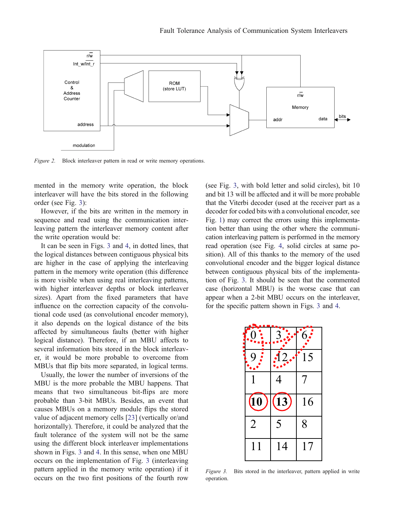<span id="page-4-0"></span>

Figure 2. Block interleaver pattern in read or write memory operations.

mented in the memory write operation, the block interleaver will have the bits stored in the following order (see Fig. 3):

However, if the bits are written in the memory in sequence and read using the communication interleaving pattern the interleaver memory content after the write operation would be:

It can be seen in Figs. 3 and [4](#page-5-0), in dotted lines, that the logical distances between contiguous physical bits are higher in the case of applying the interleaving pattern in the memory write operation (this difference is more visible when using real interleaving patterns, with higher interleaver depths or block interleaver sizes). Apart from the fixed parameters that have influence on the correction capacity of the convolutional code used (as convolutional encoder memory), it also depends on the logical distance of the bits affected by simultaneous faults (better with higher logical distance). Therefore, if an MBU affects to several information bits stored in the block interleaver, it would be more probable to overcome from MBUs that flip bits more separated, in logical terms.

Usually, the lower the number of inversions of the MBU is the more probable the MBU happens. That means that two simultaneous bit-flips are more probable than 3-bit MBUs. Besides, an event that causes MBUs on a memory module flips the stored value of adjacent memory cells [\[23](#page-15-0)] (vertically or/and horizontally). Therefore, it could be analyzed that the fault tolerance of the system will not be the same using the different block interleaver implementations shown in Figs. 3 and [4](#page-5-0). In this sense, when one MBU occurs on the implementation of Fig. 3 (interleaving pattern applied in the memory write operation) if it occurs on the two first positions of the fourth row (see Fig. 3, with bold letter and solid circles), bit 10 and bit 13 will be affected and it will be more probable that the Viterbi decoder (used at the receiver part as a decoder for coded bits with a convolutional encoder, see Fig. [1](#page-1-0)) may correct the errors using this implementation better than using the other where the communication interleaving pattern is performed in the memory read operation (see Fig. [4](#page-5-0), solid circles at same position). All of this thanks to the memory of the used convolutional encoder and the bigger logical distance between contiguous physical bits of the implementation of Fig. 3. It should be seen that the commented case (horizontal MBU) is the worse case that can appear when a 2-bit MBU occurs on the interleaver, for the specific pattern shown in Figs. 3 and [4](#page-5-0).



Figure 3. Bits stored in the interleaver, pattern applied in write operation.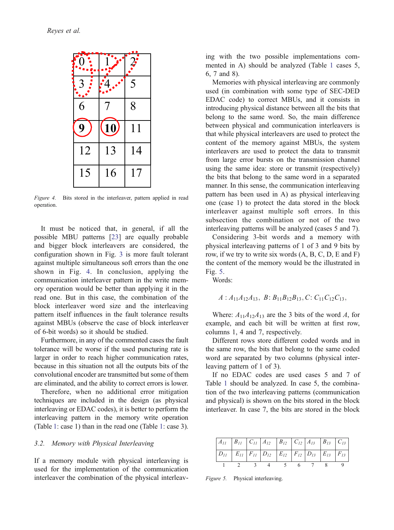<span id="page-5-0"></span>

Figure 4. Bits stored in the interleaver, pattern applied in read operation.

It must be noticed that, in general, if all the possible MBU patterns [\[23](#page-15-0)] are equally probable and bigger block interleavers are considered, the configuration shown in Fig. [3](#page-4-0) is more fault tolerant against multiple simultaneous soft errors than the one shown in Fig. 4. In conclusion, applying the communication interleaver pattern in the write memory operation would be better than applying it in the read one. But in this case, the combination of the block interleaver word size and the interleaving pattern itself influences in the fault tolerance results against MBUs (observe the case of block interleaver of 6-bit words) so it should be studied.

Furthermore, in any of the commented cases the fault tolerance will be worse if the used puncturing rate is larger in order to reach higher communication rates, because in this situation not all the outputs bits of the convolutional encoder are transmitted but some of them are eliminated, and the ability to correct errors is lower.

Therefore, when no additional error mitigation techniques are included in the design (as physical interleaving or EDAC codes), it is better to perform the interleaving pattern in the memory write operation (Table [1](#page-3-0): case 1) than in the read one (Table [1](#page-3-0): case 3).

## 3.2. Memory with Physical Interleaving

If a memory module with physical interleaving is used for the implementation of the communication interleaver the combination of the physical interleaving with the two possible implementations commented in A) should be analyzed (Table [1](#page-3-0) cases 5, 6, 7 and 8).

Memories with physical interleaving are commonly used (in combination with some type of SEC-DED EDAC code) to correct MBUs, and it consists in introducing physical distance between all the bits that belong to the same word. So, the main difference between physical and communication interleavers is that while physical interleavers are used to protect the content of the memory against MBUs, the system interleavers are used to protect the data to transmit from large error bursts on the transmission channel using the same idea: store or transmit (respectively) the bits that belong to the same word in a separated manner. In this sense, the communication interleaving pattern has been used in A) as physical interleaving one (case 1) to protect the data stored in the block interleaver against multiple soft errors. In this subsection the combination or not of the two interleaving patterns will be analyzed (cases 5 and 7).

Considering 3-bit words and a memory with physical interleaving patterns of 1 of 3 and 9 bits by row, if we try to write six words (A, B, C, D, E and F) the content of the memory would be the illustrated in Fig. 5.

Words:

$$
A: A_{11}A_{12}A_{13}, B: B_{11}B_{12}B_{13}, C: C_{11}C_{12}C_{13},
$$

Where:  $A_{11}A_{12}A_{13}$  are the 3 bits of the word A, for example, and each bit will be written at first row, columns 1, 4 and 7, respectively.

Different rows store different coded words and in the same row, the bits that belong to the same coded word are separated by two columns (physical interleaving pattern of 1 of 3).

If no EDAC codes are used cases 5 and 7 of Table [1](#page-3-0) should be analyzed. In case 5, the combination of the two interleaving patterns (communication and physical) is shown on the bits stored in the block interleaver. In case 7, the bits are stored in the block

| $\begin{array}{ c c c c c c c c c c c } \hline A_{11} & B_{11} & A_{12} & B_{12} & C_{12} & A_{13} & B_{13} & C_{13} \\\hline \end{array}$ |  |  |  |  |
|--------------------------------------------------------------------------------------------------------------------------------------------|--|--|--|--|
| $D_{11}$ $E_{11}$ $F_{11}$ $D_{12}$ $E_{12}$ $F_{12}$ $D_{13}$ $E_{13}$ $F_{13}$                                                           |  |  |  |  |
|                                                                                                                                            |  |  |  |  |

Figure 5. Physical interleaving.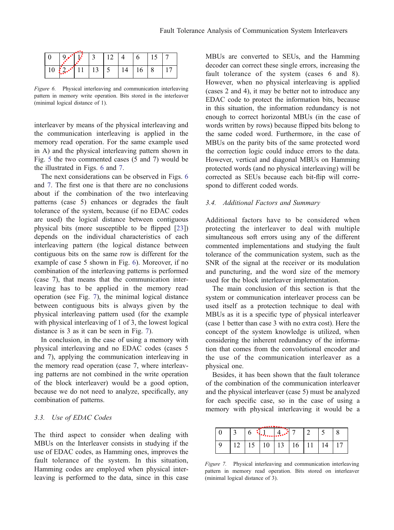|                              | $9.4$ $\frac{1}{2}$ $3$ $12$ $4$ |  |         | 6 15 |                |
|------------------------------|----------------------------------|--|---------|------|----------------|
| $10$ $2 \cdot \cdot 11$ 13 5 |                                  |  | 14 16 8 |      | $\frac{17}{2}$ |

Figure 6. Physical interleaving and communication interleaving pattern in memory write operation. Bits stored in the interleaver (minimal logical distance of 1).

interleaver by means of the physical interleaving and the communication interleaving is applied in the memory read operation. For the same example used in A) and the physical interleaving pattern shown in Fig. [5](#page-5-0) the two commented cases (5 and 7) would be the illustrated in Figs. 6 and 7.

The next considerations can be observed in Figs. 6 and 7. The first one is that there are no conclusions about if the combination of the two interleaving patterns (case 5) enhances or degrades the fault tolerance of the system, because (if no EDAC codes are used) the logical distance between contiguous physical bits (more susceptible to be flipped [\[23](#page-15-0)]) depends on the individual characteristics of each interleaving pattern (the logical distance between contiguous bits on the same row is different for the example of case 5 shown in Fig. 6). Moreover, if no combination of the interleaving patterns is performed (case 7), that means that the communication interleaving has to be applied in the memory read operation (see Fig. 7), the minimal logical distance between contiguous bits is always given by the physical interleaving pattern used (for the example with physical interleaving of 1 of 3, the lowest logical distance is 3 as it can be seen in Fig. 7).

In conclusion, in the case of using a memory with physical interleaving and no EDAC codes (cases 5 and 7), applying the communication interleaving in the memory read operation (case 7, where interleaving patterns are not combined in the write operation of the block interleaver) would be a good option, because we do not need to analyze, specifically, any combination of patterns.

## 3.3. Use of EDAC Codes

The third aspect to consider when dealing with MBUs on the Interleaver consists in studying if the use of EDAC codes, as Hamming ones, improves the fault tolerance of the system. In this situation, Hamming codes are employed when physical interleaving is performed to the data, since in this case

MBUs are converted to SEUs, and the Hamming decoder can correct these single errors, increasing the fault tolerance of the system (cases 6 and 8). However, when no physical interleaving is applied (cases 2 and 4), it may be better not to introduce any EDAC code to protect the information bits, because in this situation, the information redundancy is not enough to correct horizontal MBUs (in the case of words written by rows) because flipped bits belong to the same coded word. Furthermore, in the case of MBUs on the parity bits of the same protected word the correction logic could induce errors to the data. However, vertical and diagonal MBUs on Hamming protected words (and no physical interleaving) will be corrected as SEUs because each bit-flip will correspond to different coded words.

### 3.4. Additional Factors and Summary

Additional factors have to be considered when protecting the interleaver to deal with multiple simultaneous soft errors using any of the different commented implementations and studying the fault tolerance of the communication system, such as the SNR of the signal at the receiver or its modulation and puncturing, and the word size of the memory used for the block interleaver implementation.

The main conclusion of this section is that the system or communication interleaver process can be used itself as a protection technique to deal with MBUs as it is a specific type of physical interleaver (case 1 better than case 3 with no extra cost). Here the concept of the system knowledge is utilized, when considering the inherent redundancy of the information that comes from the convolutional encoder and the use of the communication interleaver as a physical one.

Besides, it has been shown that the fault tolerance of the combination of the communication interleaver and the physical interleaver (case 5) must be analyzed for each specific case, so in the case of using a memory with physical interleaving it would be a

|   | سه | U |    | <b><i>County</i></b> |    |  |  |  |  |  |  |
|---|----|---|----|----------------------|----|--|--|--|--|--|--|
| ◠ |    |   | 10 | 13                   | 16 |  |  |  |  |  |  |

Figure 7. Physical interleaving and communication interleaving pattern in memory read operation. Bits stored on interleaver (minimal logical distance of 3).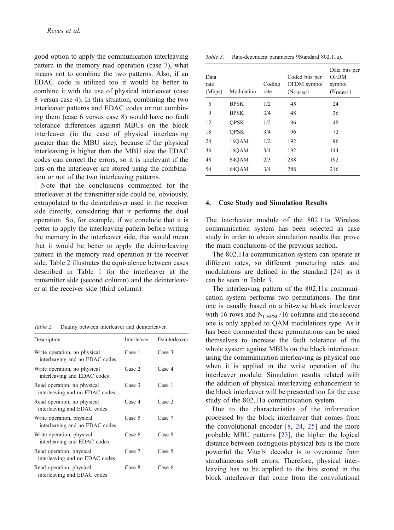<span id="page-7-0"></span>good option to apply the communication interleaving pattern in the memory read operation (case 7), what means not to combine the two patterns. Also, if an EDAC code is utilized too it would be better to combine it with the use of physical interleaver (case 8 versus case 4). In this situation, combining the two interleaver patterns and EDAC codes or not combining them (case 6 versus case 8) would have no fault tolerance differences against MBUs on the block interleaver (in the case of physical interleaving greater than the MBU size), because if the physical interleaving is higher than the MBU size the EDAC codes can correct the errors, so it is irrelevant if the bits on the interleaver are stored using the combination or not of the two interleaving patterns.

Note that the conclusions commented for the interleaver at the transmitter side could be, obviously, extrapolated to the deinterleaver used in the receiver side directly, considering that it performs the dual operation. So, for example, if we conclude that it is better to apply the interleaving pattern before writing the memory in the interleaver side, that would mean that it would be better to apply the deinterleaving pattern in the memory read operation at the receiver side. Table 2 illustrates the equivalence between cases described in Table [1](#page-3-0) for the interleaver at the transmitter side (second column) and the deinterleaver at the receiver side (third column).

Table 2. Duality between interleaver and deinterleaver.

| Description                                                    | Interleaver | Deinterleaver |
|----------------------------------------------------------------|-------------|---------------|
| Write operation, no physical<br>interleaving and no EDAC codes | Case 1      | Case 3        |
| Write operation, no physical<br>interleaving and EDAC codes    | Case 2      | Case 4        |
| Read operation, no physical<br>interleaving and no EDAC codes  | Case 3      | Case 1        |
| Read operation, no physical<br>interleaving and EDAC codes     | Case 4      | Case 2        |
| Write operation, physical<br>interleaving and no EDAC codes    | Case 5      | Case 7        |
| Write operation, physical<br>interleaving and EDAC codes       | Case 6      | Case 8        |
| Read operation, physical<br>interleaving and no EDAC codes     | Case 7      | Case 5        |
| Read operation, physical<br>interleaving and EDAC codes        | Case 8      | Case 6        |

Table 3. Rate-dependent parameters 9Standard 802.11a).

| Data<br>rate<br>(Mbps) | Modulation  | Coding<br>rate | Coded bits per<br>OFDM symbol<br>$(N_{CBPSC})$ | Data bits per<br><b>OFDM</b><br>symbol<br>$(N_{DBPSC})$ |
|------------------------|-------------|----------------|------------------------------------------------|---------------------------------------------------------|
| 6                      | <b>BPSK</b> | 1/2            | 48                                             | 24                                                      |
| 9                      | <b>BPSK</b> | 3/4            | 48                                             | 36                                                      |
| 12                     | <b>OPSK</b> | 1/2            | 96                                             | 48                                                      |
| 18                     | <b>OPSK</b> | 3/4            | 96                                             | 72                                                      |
| 24                     | 160AM       | 1/2            | 192                                            | 96                                                      |
| 36                     | 160AM       | 3/4            | 192                                            | 144                                                     |
| 48                     | 64OAM       | 2/3            | 288                                            | 192                                                     |
| 54                     | 64OAM       | 3/4            | 288                                            | 216                                                     |

### 4. Case Study and Simulation Results

The interleaver module of the 802.11a Wireless communication system has been selected as case study in order to obtain simulation results that prove the main conclusions of the previous section.

The 802.11a communication system can operate at different rates, so different puncturing rates and modulations are defined in the standard [\[24](#page-15-0)] as it can be seen in Table 3.

The interleaving pattern of the 802.11a communication system performs two permutations. The first one is usually based on a bit-wise block interleaver with 16 rows and  $N_{CBPSC}/16$  columns and the second one is only applied to QAM modulations type. As it has been commented these permutations can be used themselves to increase the fault tolerance of the whole system against MBUs on the block interleaver, using the communication interleaving as physical one when it is applied in the write operation of the interleaver module. Simulation results related with the addition of physical interleaving enhancement to the block interleaver will be presented too for the case study of the 802.11a communication system.

Due to the characteristics of the information processed by the block interleaver that comes from the convolutional encoder [\[8](#page-15-0), [24](#page-15-0), [25](#page-15-0)] and the more probable MBU patterns [\[23](#page-15-0)], the higher the logical distance between contiguous physical bits is the more powerful the Viterbi decoder is to overcome from simultaneous soft errors. Therefore, physical interleaving has to be applied to the bits stored in the block interleaver that come from the convolutional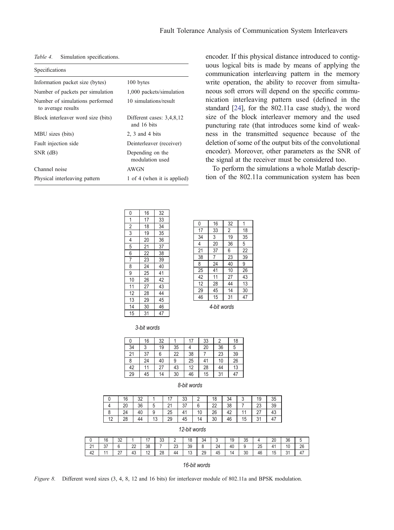<span id="page-8-0"></span>

| Table 4. | Simulation specifications. |  |
|----------|----------------------------|--|
|----------|----------------------------|--|

| Specifications                                        |                                          |
|-------------------------------------------------------|------------------------------------------|
| Information packet size (bytes)                       | 100 bytes                                |
| Number of packets per simulation                      | 1,000 packets/simulation                 |
| Number of simulations performed<br>to average results | 10 simulations/result                    |
| Block interleaver word size (bits)                    | Different cases: 3,4,8,12<br>and 16 bits |
| MBU sizes (bits)                                      | 2, 3 and 4 bits                          |
| Fault injection side                                  | Deinterleaver (receiver)                 |
| $SNR$ (dB)                                            | Depending on the<br>modulation used      |
| Channel noise                                         | <b>AWGN</b>                              |
| Physical interleaving pattern                         | 1 of 4 (when it is applied)              |

encoder. If this physical distance introduced to contiguous logical bits is made by means of applying the communication interleaving pattern in the memory write operation, the ability to recover from simultaneous soft errors will depend on the specific communication interleaving pattern used (defined in the standard [\[24](#page-15-0)], for the 802.11a case study), the word size of the block interleaver memory and the used puncturing rate (that introduces some kind of weakness in the transmitted sequence because of the deletion of some of the output bits of the convolutional encoder). Moreover, other parameters as the SNR of the signal at the receiver must be considered too.

To perform the simulations a whole Matlab description of the 802.11a communication system has been

| 0  | 16 | 32 |
|----|----|----|
| 1  | 17 | 33 |
| 2  | 18 | 34 |
| 3  | 19 | 35 |
| 4  | 20 | 36 |
| 5  | 21 | 37 |
| 6  | 22 | 38 |
| 7  | 23 | 39 |
| 8  | 24 | 40 |
| 9  | 25 | 41 |
| 10 | 26 | 42 |
| 11 | 27 | 43 |
| 12 | 28 | 44 |
| 13 | 29 | 45 |
| 14 | 30 | 46 |
| 15 | 31 | 47 |

| 16 | 32 | 1  |
|----|----|----|
| 33 | 2  | 18 |
| 3  | 19 | 35 |
| 20 | 36 | 5  |
| 37 | 6  | 22 |
|    | 23 | 39 |
| 24 | 40 | 9  |
| 41 | 10 | 26 |
| 11 | 27 | 43 |
| 28 | 44 | 13 |
| 45 | 14 | 30 |
| 15 | 31 | 47 |
|    |    |    |

*4-bit words*

*3-bit words*

|    | 16 | 32 |    |    | 33 |    | 18 |
|----|----|----|----|----|----|----|----|
| 34 | ື  | 19 | 35 |    | 20 | 36 | 5  |
| 21 | 37 | 6  | 22 | 38 |    | 23 | 39 |
| 8  | 24 | 40 | 9  | 25 | 41 | 10 | 26 |
| 42 |    | 27 | 43 | 12 | 28 | 44 | 13 |
| 29 | 45 | 14 | 30 | 46 | 15 | 31 | 47 |

*8-bit words*

|    | 16 | 32 |          |    | 33 |    | 10       | 34 | ື  | 19 | 35 |
|----|----|----|----------|----|----|----|----------|----|----|----|----|
|    | 20 | 36 | J        |    | 37 |    | ົດ<br>22 | 38 |    | 23 | 39 |
|    | 24 | 40 |          | 25 | 41 | 10 | 26       | 42 |    |    | 43 |
| '' | 28 | 44 | 12<br>10 | 29 | 45 | 14 | 30       | 46 | 15 | ບ≀ | 47 |

|        | 16            | $\sim$<br>ےں |              | $\sim$                | $\sim$<br>ບບ |    | 18                   | 34 |    | 19 | 35<br>ບປ |    | 20                   | 36 |      |
|--------|---------------|--------------|--------------|-----------------------|--------------|----|----------------------|----|----|----|----------|----|----------------------|----|------|
| $\sim$ | $\sim$<br>ັບເ |              | $\sim$<br>22 | 38                    |              | 23 | 39                   |    | 24 | 40 |          | 25 |                      | 10 | 26   |
| 42     |               | $\sim$       | 43           | $\overline{A}$<br>ے ا | 28           | 44 | $\overline{A}$<br>10 | 29 | 45 | 14 | 30       | 46 | $\overline{A}$<br>ΙV | ັ  | $-1$ |

*16-bit words*

Figure 8. Different word sizes  $(3, 4, 8, 12, 10, 16)$  bits) for interleaver module of 802.11a and BPSK modulation.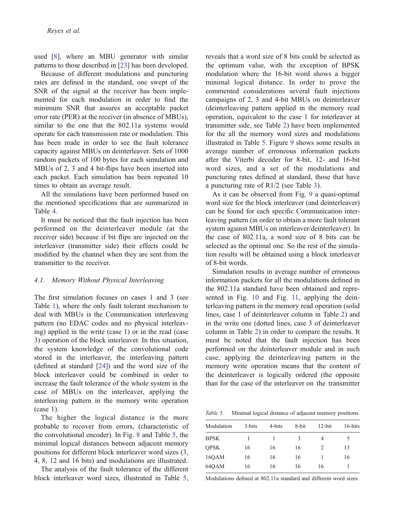used [\[8](#page-15-0)], where an MBU generator with similar patterns to those described in [\[23](#page-15-0)] has been developed.

Because of different modulations and puncturing rates are defined in the standard, one swept of the SNR of the signal at the receiver has been implemented for each modulation in order to find the minimum SNR that assures an acceptable packet error rate (PER) at the receiver (in absence of MBUs), similar to the one that the 802.11a systems would operate for each transmission rate or modulation. This has been made in order to see the fault tolerance capacity against MBUs on deinterleaver. Sets of 1000 random packets of 100 bytes for each simulation and MBUs of 2, 3 and 4 bit-flips have been inserted into each packet. Each simulation has been repeated 10 times to obtain an average result.

All the simulations have been performed based on the mentioned specifications that are summarized in Table [4](#page-8-0).

It must be noticed that the fault injection has been performed on the deinterleaver module (at the receiver side) because if bit flips are injected on the interleaver (transmitter side) their effects could be modified by the channel when they are sent from the transmitter to the receiver.

## 4.1. Memory Without Physical Interleaving

The first simulation focuses on cases 1 and 3 (see Table [1](#page-3-0)), where the only fault tolerant mechanism to deal with MBUs is the Communication interleaving pattern (no EDAC codes and no physical interleaving) applied in the write (case 1) or in the read (case 3) operation of the block interleaver. In this situation, the system knowledge of the convolutional code stored in the interleaver, the interleaving pattern (defined at standard [\[24](#page-15-0)]) and the word size of the block interleaver could be combined in order to increase the fault tolerance of the whole system in the case of MBUs on the interleaver, applying the interleaving pattern in the memory write operation (case 1).

The higher the logical distance is the more probable to recover from errors, (characteristic of the convolutional encoder). In Fig. [8](#page-8-0) and Table 5, the minimal logical distances between adjacent memory positions for different block interleaver word sizes (3, 4, 8, 12 and 16 bits) and modulations are illustrated.

The analysis of the fault tolerance of the different block interleaver word sizes, illustrated in Table 5, reveals that a word size of 8 bits could be selected as the optimum value, with the exception of BPSK modulation where the 16-bit word shows a bigger minimal logical distance. In order to prove the commented considerations several fault injections campaigns of 2, 3 and 4-bit MBUs on deinterleaver (deinterleaving pattern applied in the memory read operation, equivalent to the case 1 for interleaver at transmitter side, see Table [2](#page-7-0)) have been implemented for the all the memory word sizes and modulations illustrated in Table 5. Figure [9](#page-10-0) shows some results in average number of erroneous information packets after the Viterbi decoder for 8-bit, 12- and 16-bit word sizes, and a set of the modulations and puncturing rates defined at standard, those that have a puncturing rate of R1/2 (see Table [3](#page-7-0)).

As it can be observed from Fig. [9](#page-10-0) a quasi-optimal word size for the block interleaver (and deinterleaver) can be found for each specific Communication interleaving pattern (in order to obtain a more fault tolerant system against MBUs on interleaver/deinterleaver). In the case of 802.11a, a word size of 8 bits can be selected as the optimal one. So the rest of the simulation results will be obtained using a block interleaver of 8-bit words.

Simulation results in average number of erroneous information packets for all the modulations defined in the 802.11a standard have been obtained and represented in Fig. [10](#page-10-0) and Fig. [11](#page-11-0), applying the deinterleaving pattern in the memory read operation (solid lines, case 1 of deinterleaver column in Table [2](#page-7-0)) and in the write one (dotted lines, case 3 of deinterleaver column in Table [2](#page-7-0)) in order to compare the results. It must be noted that the fault injection has been performed on the deinterleaver module and in such case, applying the deinterleaving pattern in the memory write operation means that the content of the deinterleaver is logically ordered (the opposite than for the case of the interleaver on the transmitter

Table 5. Minimal logical distance of adjacent memory positions.

| Modulation  | 3-bits | 4-bits | 8-bit | $12$ -bit                   | 16-bits |
|-------------|--------|--------|-------|-----------------------------|---------|
| <b>BPSK</b> |        |        | 3     | 4                           |         |
| <b>OPSK</b> | 16     | 16     | 16    | $\mathcal{D}_{\mathcal{L}}$ | 13      |
| 16OAM       | 16     | 16     | 16    |                             | 16      |
| 64OAM       | 16     | 16     | 16    | 16                          |         |
|             |        |        |       |                             |         |

Modulations defined at 802.11a standard and different word sizes.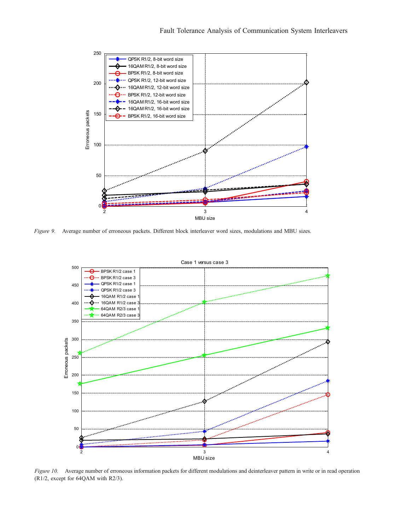<span id="page-10-0"></span>

Figure 9. Average number of erroneous packets. Different block interleaver word sizes, modulations and MBU sizes.



Figure 10. Average number of erroneous information packets for different modulations and deinterleaver pattern in write or in read operation (R1/2, except for 64QAM with R2/3).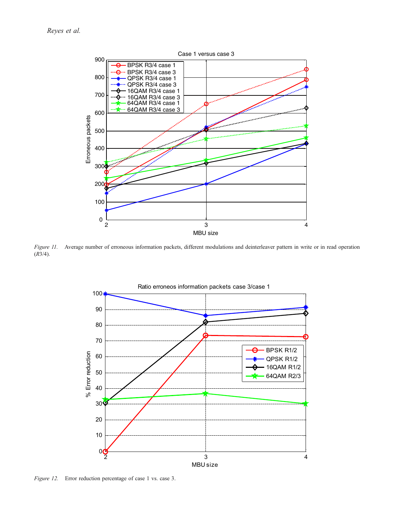<span id="page-11-0"></span>

Figure 11. Average number of erroneous information packets, different modulations and deinterleaver pattern in write or in read operation (R3/4).



Figure 12. Error reduction percentage of case 1 vs. case 3.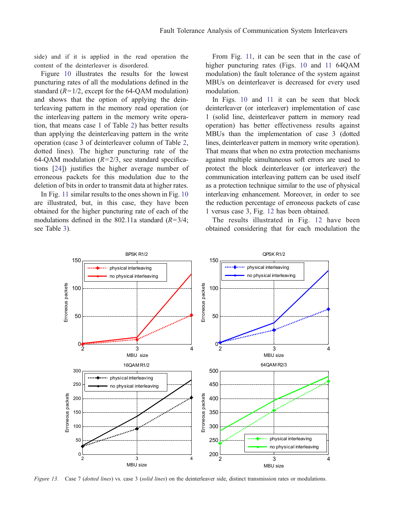<span id="page-12-0"></span>side) and if it is applied in the read operation the content of the deinterleaver is disordered.

Figure [10](#page-10-0) illustrates the results for the lowest puncturing rates of all the modulations defined in the standard  $(R=1/2)$ , except for the 64-QAM modulation) and shows that the option of applying the deinterleaving pattern in the memory read operation (or the interleaving pattern in the memory write operation, that means case 1 of Table [2](#page-7-0)) has better results than applying the deinterleaving pattern in the write operation (case 3 of deinterleaver column of Table [2](#page-7-0), dotted lines). The higher puncturing rate of the 64-QAM modulation  $(R=2/3)$ , see standard specifications [\[24](#page-15-0)]) justifies the higher average number of erroneous packets for this modulation due to the deletion of bits in order to transmit data at higher rates.

In Fig. [11](#page-11-0) similar results to the ones shown in Fig. [10](#page-10-0) are illustrated, but, in this case, they have been obtained for the higher puncturing rate of each of the modulations defined in the 802.11a standard  $(R=3/4)$ ; see Table [3](#page-7-0)).

From Fig. [11](#page-11-0), it can be seen that in the case of higher puncturing rates (Figs. [10](#page-10-0) and [11](#page-11-0) 64QAM modulation) the fault tolerance of the system against MBUs on deinterleaver is decreased for every used modulation.

In Figs. [10](#page-10-0) and [11](#page-11-0) it can be seen that block deinterleaver (or interleaver) implementation of case 1 (solid line, deinterleaver pattern in memory read operation) has better effectiveness results against MBUs than the implementation of case 3 (dotted lines, deinterleaver pattern in memory write operation). That means that when no extra protection mechanisms against multiple simultaneous soft errors are used to protect the block deinterleaver (or interleaver) the communication interleaving pattern can be used itself as a protection technique similar to the use of physical interleaving enhancement. Moreover, in order to see the reduction percentage of erroneous packets of case 1 versus case 3, Fig. [12](#page-11-0) has been obtained.

The results illustrated in Fig. [12](#page-11-0) have been obtained considering that for each modulation the



Figure 13. Case 7 (dotted lines) vs. case 3 (solid lines) on the deinterleaver side, distinct transmission rates or modulations.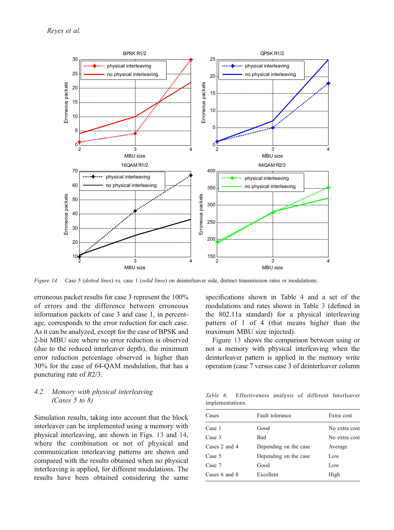<span id="page-13-0"></span>

Figure 14. Case 5 (dotted lines) vs. case 1 (solid lines) on deinterleaver side, distinct transmission rates or modulations.

erroneous packet results for case 3 represent the 100% of errors and the difference between erroneous information packets of case 3 and case 1, in percentage, corresponds to the error reduction for each case. As it can be analyzed, except for the case of BPSK and 2-bit MBU size where no error reduction is observed (due to the reduced interleaver depth), the minimum error reduction percentage observed is higher than 30% for the case of 64-QAM modulation, that has a puncturing rate of R2/3.

## 4.2. Memory with physical interleaving (Cases 5 to 8)

Simulation results, taking into account that the block interleaver can be implemented using a memory with physical interleaving, are shown in Figs. [13](#page-12-0) and 14, where the combination or not of physical and communication interleaving patterns are shown and compared with the results obtained when no physical interleaving is applied, for different modulations. The results have been obtained considering the same specifications shown in Table [4](#page-8-0) and a set of the modulations and rates shown in Table [3](#page-7-0) (defined in the 802.11a standard) for a physical interleaving pattern of 1 of 4 (that means higher than the maximum MBU size injected).

Figure [13](#page-12-0) shows the comparison between using or not a memory with physical interleaving when the deinterleaver pattern is applied in the memory write operation (case 7 versus case 3 of deinterleaver column

Table 6. Effectiveness analysis of different Interleaver implementations.

| Cases         | Fault tolerance       | Extra cost    |
|---------------|-----------------------|---------------|
| Case 1        | Good                  | No extra cost |
| Case 3        | Bad                   | No extra cost |
| Cases 2 and 4 | Depending on the case | Average       |
| Case 5        | Depending on the case | Low           |
| Case 7        | Good                  | Low           |
| Cases 6 and 8 | Excellent             | High          |
|               |                       |               |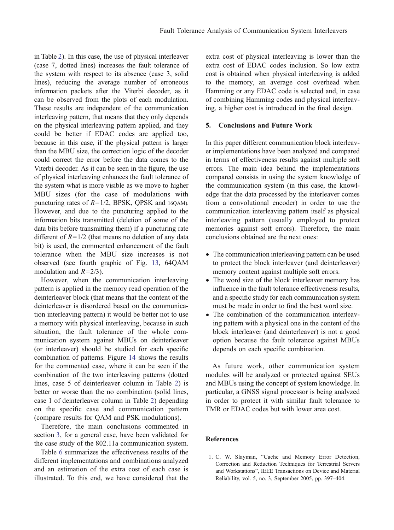<span id="page-14-0"></span>in Table [2](#page-7-0)). In this case, the use of physical interleaver (case 7, dotted lines) increases the fault tolerance of the system with respect to its absence (case 3, solid lines), reducing the average number of erroneous information packets after the Viterbi decoder, as it can be observed from the plots of each modulation. These results are independent of the communication interleaving pattern, that means that they only depends on the physical interleaving pattern applied, and they could be better if EDAC codes are applied too, because in this case, if the physical pattern is larger than the MBU size, the correction logic of the decoder could correct the error before the data comes to the Viterbi decoder. As it can be seen in the figure, the use of physical interleaving enhances the fault tolerance of the system what is more visible as we move to higher MBU sizes (for the case of modulations with puncturing rates of  $R=1/2$ , BPSK, QPSK and 16QAM). However, and due to the puncturing applied to the information bits transmitted (deletion of some of the data bits before transmitting them) if a puncturing rate different of  $R=1/2$  (that means no deletion of any data bit) is used, the commented enhancement of the fault tolerance when the MBU size increases is not observed (see fourth graphic of Fig. [13](#page-12-0), 64QAM modulation and  $R=2/3$ ).

However, when the communication interleaving pattern is applied in the memory read operation of the deinterleaver block (that means that the content of the deinterleaver is disordered based on the communication interleaving pattern) it would be better not to use a memory with physical interleaving, because in such situation, the fault tolerance of the whole communication system against MBUs on deinterleaver (or interleaver) should be studied for each specific combination of patterns. Figure [14](#page-13-0) shows the results for the commented case, where it can be seen if the combination of the two interleaving patterns (dotted lines, case 5 of deinterleaver column in Table [2](#page-7-0)) is better or worse than the no combination (solid lines, case 1 of deinterleaver column in Table [2](#page-7-0)) depending on the specific case and communication pattern (compare results for QAM and PSK modulations).

Therefore, the main conclusions commented in section [3](#page-3-0), for a general case, have been validated for the case study of the 802.11a communication system.

Table [6](#page-13-0) summarizes the effectiveness results of the different implementations and combinations analyzed and an estimation of the extra cost of each case is illustrated. To this end, we have considered that the extra cost of physical interleaving is lower than the extra cost of EDAC codes inclusion. So low extra cost is obtained when physical interleaving is added to the memory, an average cost overhead when Hamming or any EDAC code is selected and, in case of combining Hamming codes and physical interleaving, a higher cost is introduced in the final design.

#### 5. Conclusions and Future Work

In this paper different communication block interleaver implementations have been analyzed and compared in terms of effectiveness results against multiple soft errors. The main idea behind the implementations compared consists in using the system knowledge of the communication system (in this case, the knowledge that the data processed by the interleaver comes from a convolutional encoder) in order to use the communication interleaving pattern itself as physical interleaving pattern (usually employed to protect memories against soft errors). Therefore, the main conclusions obtained are the next ones:

- & The communication interleaving pattern can be used to protect the block interleaver (and deinterleaver) memory content against multiple soft errors.
- The word size of the block interleaver memory has influence in the fault tolerance effectiveness results, and a specific study for each communication system must be made in order to find the best word size.
- The combination of the communication interleaving pattern with a physical one in the content of the block interleaver (and deinterleaver) is not a good option because the fault tolerance against MBUs depends on each specific combination.

As future work, other communication system modules will be analyzed or protected against SEUs and MBUs using the concept of system knowledge. In particular, a GNSS signal processor is being analyzed in order to protect it with similar fault tolerance to TMR or EDAC codes but with lower area cost.

#### References

1. C. W. Slayman, "Cache and Memory Error Detection, Correction and Reduction Techniques for Terrestrial Servers and Workstations", IEEE Transactions on Device and Material Reliability, vol. 5, no. 3, September 2005, pp. 397–404.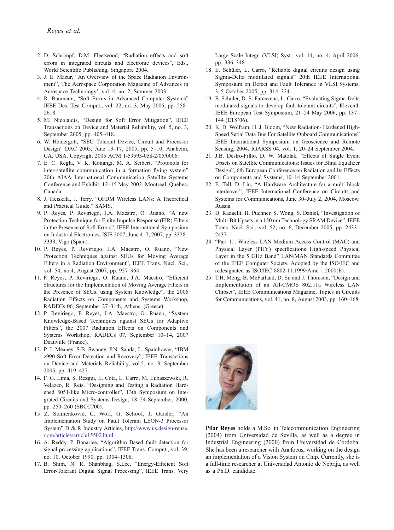- <span id="page-15-0"></span>2. D. Schrimpf, D.M. Fleetwood, "Radiation effects and soft errors in integrated circuits and electronic devices", Eds., World Scientific Publishing, Singapore 2004.
- 3. J. E. Mazur, "An Overview of the Space Radiation Environment", The Aerospace Corporation Magazine of Advances in Aerospace Technology', vol. 4, no. 2, Summer 2003.
- 4. R. Baumann, "Soft Errors in Advanced Computer Systems" IEEE Des. Test Comput., vol. 22, no. 3, May 2005, pp. 258– 2618.
- 5. M. Nicolaidis, "Design for Soft Error Mitigation", IEEE Transactions on Device and Material Reliability, vol. 5, no. 3, September 2005, pp. 405–418.
- 6. W. Heidergott, "SEU Tolerant Device, Circuit and Processor Design" DAC 2005, June 13–17, 2005, pp. 5–10, Anaheim, CA, USA. Copyright 2005 ACM 1-59593-058-2/05/0006.
- 7. E. C. Regla, V. K. Konangi, M. A. Seibert, "Protocols for inter-satellite communication in a formation flying system" 20th AIAA International Communication Satellite Systems Conference and Exhibit, 12–15 May 2002, Montreal, Quebec, Canada.
- 8. J. Heiskala, J. Terry, "OFDM Wireless LANs: A Theoretical and Practical Guide." SAMS.
- 9. P. Reyes, P. Reviriego, J.A. Maestro, O. Ruano, "A new Protection Technique for Finite Impulse Response (FIR) Filters in the Presence of Soft Errors", IEEE International Symposium on Industrial Electronics, ISIE 2007, June 4–7, 2007, pp. 3328– 3333, Vigo (Spain).
- 10. P. Reyes, P. Reviriego, J.A. Maestro, O. Ruano, "New Protection Techniques against SEUs for Moving Average Filters in a Radiation Environment", IEEE Trans. Nucl. Sci., vol. 54, no.4, August 2007, pp. 957–964.
- 11. P. Reyes, P. Reviriego, O. Ruano, J.A. Maestro, "Efficient Structures for the Implementation of Moving Average Filters in the Presence of SEUs. using System Knowledge", the 2006 Radiation Effects on Components and Systems Workshop, RADECs 06, September 27–31th, Athens, (Greece).
- 12. P. Reviriego, P. Reyes, J.A. Maestro, O. Ruano, "System Knowledge-Based Techniques against SEUs for Adaptive Filters", the 2007 Radiation Effects on Components and Systems Workshop, RADECs 07, September 10–14, 2007 Deauville (France).
- 13. P. J. Meaney, S.B. Swaney, P.N. Sanda, L. Spainhower, "IBM z990 Soft Error Detection and Recovery", IEEE Transactions on Device and Materials Reliability, vol.5, no. 3, September 2005, pp. 419–427.
- 14. F. G. Lima, S. Rezgui, E. Cota, L. Carro, M. Lubaszewski, R. Velazco, R. Reis. "Designing and Testing a Radiation Hardened 8051-like Micro-controller", 13th Symposium on Integrated Circuits and Systems Design, 18–24 September, 2000, pp. 250–260 (SBCCI'00).
- 15. Z. Stamenković, C. Wolf, G. Schoof, J. Gaisler, "An Implementation Study on Fault Tolerant LEON-3 Processor System" D & R Industry Articles, [http://www.us.design-reuse](http://www.us.design-reuse.com/articles/article15502.html). [com/articles/article15502.htm](http://www.us.design-reuse.com/articles/article15502.html)l.
- 16. A. Reddy, P. Banarjee, "Algorithm Based fault detection for signal processing applications", IEEE Trans. Comput., vol. 39, no. 10, October 1990, pp. 1304–1308.
- 17. B. Shim, N. R. Shanbhag, S.Lee, "Energy-Efficient Soft Error-Tolerant Digital Signal Processing", IEEE Trans. Very

Large Scale Integr. (VLSI) Syst., vol. 14, no. 4, April 2006, pp. 336–348.

- 18. E. Schüler, L. Carro, "Reliable digital circuits design using Sigma-Delta modulated signals" 20th IEEE International Symposium on Defect and Fault Tolerance in VLSI Systems, 3–5 October 2005, pp. 314–324.
- 19. E. Schüler, D. S. Farenzena, L. Carro, "Evaluating Sigma-Delta modulated signals to develop fault-tolerant circuits", Eleventh IEEE European Test Symposium, 21–24 May 2006, pp. 137– 144 (ETS'06).
- 20. K. D. Wolfram, H. J. Bloom, "New Radiation- Hardened High-Speed Serial Data Bus For Satellite Onboard Communications" IEEE International Symposium on Geoscience and Remote Sensing, 2004. IGARSS 04. vol. 1, 20–24 September 2004.
- 21. J.B. Destro-Filho, D. W. Matolak, "Effects of Single Event Upsets on Satellite Communications: Issues for Blind Equalizer Design", 6th European Conference on Radiation and Its Effects on Components and Systems, 10–14 September 2001.
- 22. E. Tell, D. Liu, "A Hardware Architecture for a multi block interleaver", IEEE International Conference on Circuits and Systems for Communications, June 30–July 2, 2004, Moscow, Russia.
- 23. D. Radaelli, H. Puchner, S. Wong, S. Daniel, "Investigation of Multi-Bit Upsets in a 150 nm Technology SRAM Device", IEEE Trans. Nucl. Sci., vol. 52, no. 6, December 2005, pp. 2433– 2437.
- 24. "Part 11: Wireless LAN Medium Access Control (MAC) and Physical Layer (PHY) specifications High-speed Physical Layer in the 5 GHz Band" LAN/MAN Standards Committee of the IEEE Computer Society. Adopted by the ISO/IEC and redesignated as ISO/IEC 8802-11:1999/Amd 1:2000(E).
- 25. T.H. Meng, B. McFarland, D. Su and J. Thomson, "Design and Implementation of an All-CMOS 802.11a Wireless LAN Chipset", IEEE Communications Magazine, Topics in Circuits for Communications, vol. 41, no. 8, August 2003, pp. 160–168.



Pilar Reyes holds a M.Sc. in Telecommunication Engineering (2004) from Universidad de Sevilla, as well as a degree in Industrial Engineering (2000) from Universidad de Córdoba. She has been a researcher with Anafocus, working on the design an implementation of a Vision System on Chip. Currently, she is a full-time researcher at Universidad Antonio de Nebrija, as well as a Ph.D. candidate.